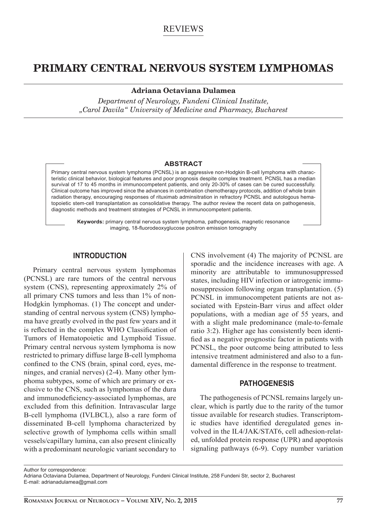# REVIEWS

# **PRIMARY CENTRAL NERVOUS SYSTEM LYMPHOMAS**

**Adriana Octaviana Dulamea**

*Department of Neurology, Fundeni Clinical Institute, "Carol Davila" University of Medicine and Pharmacy, Bucharest*

#### **ABSTRACT**

Primary central nervous system lymphoma (PCNSL) is an aggressive non-Hodgkin B-cell lymphoma with characteristic clinical behavior, biological features and poor prognosis despite complex treatment. PCNSL has a median survival of 17 to 45 months in immunocompetent patients, and only 20-30% of cases can be cured successfully. Clinical outcome has improved since the advances in combination chemotherapy protocols, addition of whole brain radiation therapy, encouraging responses of rituximab adminsitration in refractory PCNSL and autologous hematopoietic stem-cell transplantation as consolidative therapy. The author review the recent data on pathogenesis, diagnostic methods and treatment strategies of PCNSL in immunocompetent patients.

**Keywords:** primary central nervous system lymphoma, pathogenesis, magnetic resonance imaging, 18-fluorodeoxyglucose positron emission tomography

# **INTRODUCTION**

Primary central nervous system lymphomas (PCNSL) are rare tumors of the central nervous system (CNS), representing approximately 2% of all primary CNS tumors and less than 1% of non-Hodgkin lymphomas. (1) The concept and understanding of central nervous system (CNS) lymphoma have greatly evolved in the past few years and it is reflected in the complex WHO Classification of Tumors of Hematopoietic and Lymphoid Tissue. Primary central nervous system lymphoma is now restricted to primary diffuse large B-cell lymphoma confined to the CNS (brain, spinal cord, eyes, meninges, and cranial nerves) (2-4). Many other lymphoma subtypes, some of which are primary or exclusive to the CNS, such as lymphomas of the dura and immunodeficiency-associated lymphomas, are excluded from this definition. Intravascular large B-cell lymphoma (IVLBCL), also a rare form of disseminated B-cell lymphoma characterized by selective growth of lymphoma cells within small vessels/capillary lumina, can also present clinically with a predominant neurologic variant secondary to

CNS involvement (4) The majority of PCNSL are sporadic and the incidence increases with age. A minority are attributable to immunosuppressed states, including HIV infection or iatrogenic immunosuppression following organ transplantation. (5) PCNSL in immunocompetent patients are not associated with Epstein-Barr virus and affect older populations, with a median age of 55 years, and with a slight male predominance (male-to-female ratio 3:2). Higher age has consistently been identified as a negative prognostic factor in patients with PCNSL, the poor outcome being attributed to less intensive treatment administered and also to a fundamental difference in the response to treatment.

## **PATHOGENESIS**

The pathogenesis of PCNSL remains largely unclear, which is partly due to the rarity of the tumor tissue available for research studies. Transcriptomic studies have identified deregulated genes involved in the IL4/JAK/STAT6, cell adhesion-related, unfolded protein response (UPR) and apoptosis signaling pathways (6-9). Copy number variation

Author for correspondence:

Adriana Octaviana Dulamea, Department of Neurology, Fundeni Clinical Institute, 258 Fundeni Str, sector 2, Bucharest E-mail: adrianadulamea@gmail.com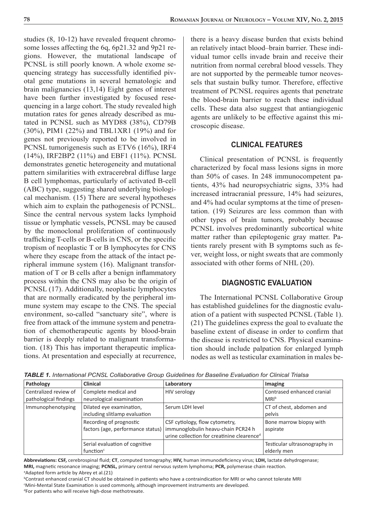studies (8, 10-12) have revealed frequent chromosome losses affecting the 6q, 6p21.32 and 9p21 regions. However, the mutational landscape of PCNSL is still poorly known. A whole exome sequencing strategy has successfully identified pivotal gene mutations in several hematologic and brain malignancies (13,14) Eight genes of interest have been further investigated by focused resequencing in a large cohort. The study revealed high mutation rates for genes already described as mutated in PCNSL such as MYD88 (38%), CD79B (30%), PIM1 (22%) and TBL1XR1 (19%) and for genes not previously reported to be involved in PCNSL tumorigenesis such as ETV6 (16%), IRF4 (14%), IRF2BP2 (11%) and EBF1 (11%). PCNSL demonstrates genetic heterogeneity and mutational pattern similarities with extracerebral diffuse large B cell lymphomas, particularly of activated B-cell (ABC) type, suggesting shared underlying biological mechanism. (15) There are several hypotheses which aim to explain the pathogenesis of PCNSL. Since the central nervous system lacks lymphoid tissue or lymphatic vessels, PCNSL may be caused by the monoclonal proliferation of continuously trafficking T-cells or B-cells in CNS, or the specific tropism of neoplastic T or B lymphocytes for CNS where they escape from the attack of the intact peripheral immune system (16). Malignant transformation of  $T$  or  $B$  cells after a benign inflammatory process within the CNS may also be the origin of PCNSL (17). Additionally, neoplastic lymphocytes that are normally eradicated by the peripheral immune system may escape to the CNS. The special environment, so-called "sanctuary site", where is free from attack of the immune system and penetration of chemotherapeutic agents by blood-brain barrier is deeply related to malignant transformation. (18) This has important therapeutic implications. At presentation and especially at recurrence,

there is a heavy disease burden that exists behind an relatively intact blood–brain barrier. These individual tumor cells invade brain and receive their nutrition from normal cerebral blood vessels. They are not supported by the permeable tumor neovessels that sustain bulky tumor. Therefore, effective treatment of PCNSL requires agents that penetrate the blood-brain barrier to reach these individual cells. These data also suggest that antiangiogenic agents are unlikely to be effective against this microscopic disease.

# **CLINICAL FEATURES**

Clinical presentation of PCNSL is frequently characterized by focal mass lesions signs in more than 50% of cases. In 248 immunocompetent patients, 43% had neuropsychiatric signs, 33% had increased intracranial pressure, 14% had seizures, and 4% had ocular symptoms at the time of presentation. (19) Seizures are less common than with other types of brain tumors, probably because PCNSL involves predominantly subcortical white matter rather than epileptogenic gray matter. Patients rarely present with B symptoms such as fever, weight loss, or night sweats that are commonly associated with other forms of NHL (20).

# **DIAGNOSTIC EVALUATION**

The International PCNSL Collaborative Group has established guidelines for the diagnostic evaluation of a patient with suspected PCNSL (Table 1). (21) The guidelines express the goal to evaluate the baseline extent of disease in order to confirm that the disease is restricted to CNS. Physical examination should include palpation for enlarged lymph nodes as well as testicular examination in males be-

| Pathology             | <b>Clinical</b>                | Laboratory                                                             | Imaging                       |
|-----------------------|--------------------------------|------------------------------------------------------------------------|-------------------------------|
| Centralized review of | Complete medical and           | <b>HIV serology</b>                                                    | Contrased enhanced cranial    |
| pathological findings | neurological examination       |                                                                        | MRI <sup>b</sup>              |
| Immunophenotyping     | Dilated eye examination,       | Serum LDH level                                                        | CT of chest, abdomen and      |
|                       | including slitlamp evaluation  |                                                                        | pelvis                        |
|                       | Recording of prognostic        | CSF cytiology, flow cytometry,                                         | Bone marrow biopsy with       |
|                       |                                | factors (age, performance status)   immunoglobulin heavu-chain PCR24 h | aspirate                      |
|                       |                                | urine collection for creatinine clearence <sup>d</sup>                 |                               |
|                       | Serial evaluation of cognitive |                                                                        | Testicular ultrasonography in |
|                       | function $c$                   |                                                                        | elderly men                   |

*TABLE 1. International PCNSL Collaborative Group Guidelines for Baseline Evaluation for Clinical Trialsa*

Abbreviations: CSF, cerebrospinal fluid; CT, computed tomography; HIV, human immunodeficiency virus; LDH, lactate dehydrogenase; MRI, magnetic resonance imaging; PCNSL, primary central nervous system lymphoma; PCR, polymerase chain reaction. <sup>a</sup>Adapted form article by Abrey et al.(21)

<sup>b</sup>Contrast enhanced cranial CT should be obtained in patients who have a contraindication for MRI or who cannot tolerate MRI <sup>c</sup>Mini-Mental State Examination is used commonly, although improvement instruments are developed.

<sup>d</sup>For patients who will receive high-dose methotrexate.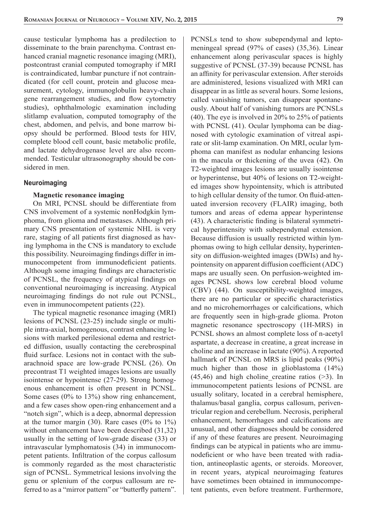cause testicular lymphoma has a predilection to disseminate to the brain parenchyma. Contrast enhanced cranial magnetic resonance imaging (MRI), postcontrast cranial computed tomography if MRI is contraindicated, lumbar puncture if not contraindicated (for cell count, protein and glucose measurement, cytology, immunoglobulin heavy-chain gene rearrangement studies, and flow cytometry studies), ophthalmologic examination including slitlamp evaluation, computed tomography of the chest, abdomen, and pelvis, and bone marrow biopsy should be performed. Blood tests for HIV, complete blood cell count, basic metabolic profile, and lactate dehydrogenase level are also recommended. Testicular ultrasonography should be considered in men.

#### **Neuroimaging**

#### **Magnetic resonance imaging**

On MRI, PCNSL should be differentiate from CNS involvement of a systemic nonHodgkin lymphoma, from glioma and metastases. Although primary CNS presentation of systemic NHL is very rare, staging of all patients first diagnosed as having lymphoma in the CNS is mandatory to exclude this possibility. Neuroimaging findings differ in immunocompetent from immunodeficient patients. Although some imaging findings are characteristic of PCNSL, the frequency of atypical findings on conventional neuroimaging is increasing. Atypical neuroimaging findings do not rule out PCNSL, even in immunocompetent patients (22).

The typical magnetic resonance imaging (MRI) lesions of PCNSL (23-25) include single or multiple intra-axial, homogenous, contrast enhancing lesions with marked perilesional edema and restricted diffusion, usually contacting the cerebrospinal fluid surface. Lesions not in contact with the subarachnoid space are low-grade PCNSL (26). On precontrast T1 weighted images lesions are usually isointense or hypointense (27-29). Strong homogenous enhancement is often present in PCNSL. Some cases (0% to 13%) show ring enhancement, and a few cases show open-ring enhancement and a "notch sign", which is a deep, abnormal depression at the tumor margin (30). Rare cases ( $0\%$  to  $1\%$ ) without enhancement have been described (31,32) usually in the setting of low-grade disease (33) or intravascular lymphomatosis (34) in immunocompetent patients. Infiltration of the corpus callosum is commonly regarded as the most characteristic sign of PCNSL. Symmetrical lesions involving the genu or splenium of the corpus callosum are referred to as a "mirror pattern" or "butterfly pattern".

PCNSLs tend to show subependymal and leptomeningeal spread (97% of cases) (35,36). Linear enhancement along perivascular spaces is highly suggestive of PCNSL (37-39) because PCNSL has an affinity for perivascular extension. After steroids are administered, lesions visualized with MRI can disappear in as little as several hours. Some lesions, called vanishing tumors, can disappear spontaneously. About half of vanishing tumors are PCNSLs (40). The eye is involved in 20% to 25% of patients with PCNSL (41). Ocular lymphoma can be diagnosed with cytologic examination of vitreal aspirate or slit-lamp examination. On MRI, ocular lymphoma can manifest as nodular enhancing lesions in the macula or thickening of the uvea (42). On T2-weighted images lesions are usually isointense or hyperintense, but 40% of lesions on T2-weighted images show hypointensity, which is attributed to high cellular density of the tumor. On fluid-attenuated inversion recovery (FLAIR) imaging, both tumors and areas of edema appear hyperintense  $(43)$ . A characteristic finding is bilateral symmetrical hyperintensity with subependymal extension. Because diffusion is usually restricted within lymphomas owing to high cellular density, hyperintensity on diffusion-weighted images (DWIs) and hypointensity on apparent diffusion coefficient (ADC) maps are usually seen. On perfusion-weighted images PCNSL shows low cerebral blood volume (CBV) (44). On susceptibility-weighted images, there are no particular or specific characteristics and no microhemorrhages or calcifications, which are frequently seen in high-grade glioma. Proton magnetic resonance spectroscopy (1H-MRS) in PCNSL shows an almost complete loss of n-acetyl aspartate, a decrease in creatine, a great increase in choline and an increase in lactate (90%). A reported hallmark of PCNSL on MRS is lipid peaks (90%) much higher than those in glioblastoma (14%)  $(45, 46)$  and high choline creatine ratios ( $>3$ ). In immunocompetent patients lesions of PCNSL are usually solitary, located in a cerebral hemisphere, thalamus/basal ganglia, corpus callosum, periventricular region and cerebellum. Necrosis, peripheral enhancement, hemorrhages and calcifications are unusual, and other diagnoses should be considered if any of these features are present. Neuroimaging findings can be atypical in patients who are immunodeficient or who have been treated with radiation, antineoplastic agents, or steroids. Moreover, in recent years, atypical neuroimaging features have sometimes been obtained in immunocompetent patients, even before treatment. Furthermore,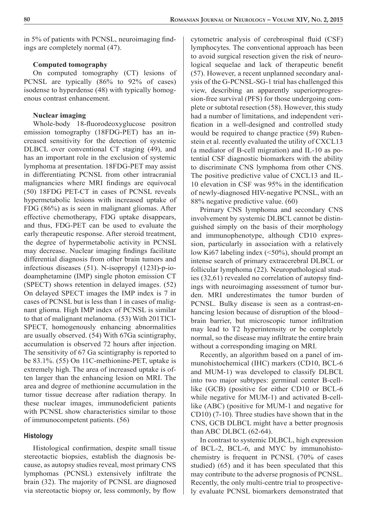in 5% of patients with PCNSL, neuroimaging findings are completely normal (47).

#### **Computed tomography**

On computed tomography (CT) lesions of PCNSL are typically (86% to 92% of cases) isodense to hyperdense (48) with typically homogenous contrast enhancement.

#### **Nuclear imaging**

Whole-body 18-fluorodeoxyglucose positron emission tomography (18FDG-PET) has an increased sensitivity for the detection of systemic DLBCL over conventional CT staging (49), and has an important role in the exclusion of systemic lymphoma at presentation. 18FDG-PET may assist in differentiating PCNSL from other intracranial malignancies where MRI findings are equivocal (50) 18FDG PET-CT in cases of PCNSL reveals hypermetabolic lesions with increased uptake of FDG (86%) as is seen in malignant gliomas. After effective chemotherapy, FDG uptake disappears, and thus, FDG-PET can be used to evaluate the early therapeutic response. After steroid treatment, the degree of hypermetabolic activity in PCNSL may decrease. Nuclear imaging findings facilitate differential diagnosis from other brain tumors and infectious diseases (51). N-isopropyl (123I)-p-iodoamphetamine (IMP) single photon emission CT (SPECT) shows retention in delayed images. (52) On delayed SPECT images the IMP index is 7 in cases of PCNSL but is less than 1 in cases of malignant glioma. High IMP index of PCNSL is similar to that of malignant melanoma. (53) With 201TlCl-SPECT, homogenously enhancing abnormalities are usually observed. (54) With 67Ga scintigraphy, accumulation is observed 72 hours after injection. The sensitivity of 67 Ga scintigraphy is reported to be 83.1%. (55) On 11C-methionine-PET, uptake is extremely high. The area of increased uptake is often larger than the enhancing lesion on MRI. The area and degree of methionine accumulation in the tumor tissue decrease after radiation therapy. In these nuclear images, immunodeficient patients with PCNSL show characteristics similar to those of immunocompetent patients. (56)

## **Histology**

Histological confirmation, despite small tissue stereotactic biopsies, establish the diagnosis because, as autopsy studies reveal, most primary CNS lymphomas (PCNSL) extensively infiltrate the brain (32). The majority of PCNSL are diagnosed via stereotactic biopsy or, less commonly, by flow cytometric analysis of cerebrospinal fluid (CSF) lymphocytes. The conventional approach has been to avoid surgical resection given the risk of neurological sequelae and lack of therapeutic benefit (57). However, a recent unplanned secondary analysis of the G-PCNSL-SG-1 trial has challenged this view, describing an apparently superiorprogression-free survival (PFS) for those undergoing complete or subtotal resection (58). However, this study had a number of limitations, and independent verification in a well-designed and controlled study would be required to change practice (59) Rubenstein et al. recently evaluated the utility of CXCL13 (a mediator of B-cell migration) and IL-10 as potential CSF diagnostic biomarkers with the ability to discriminate CNS lymphoma from other CNS. The positive predictive value of CXCL13 and IL-10 elevation in CSF was 95% in the identification of newly-diagnosed HIV-negative PCNSL, with an 88% negative predictive value. (60)

Primary CNS lymphoma and secondary CNS involvement by systemic DLBCL cannot be distinguished simply on the basis of their morphology and immunophenotype, although CD10 expression, particularly in association with a relatively low Ki67 labeling index (<50%), should prompt an intense search of primary extracerebral DLBCL or follicular lymphoma (22). Neuropathological studies  $(32,61)$  revealed no correlation of autopsy findings with neuroimaging assessment of tumor burden. MRI underestimates the tumor burden of PCNSL. Bulky disease is seen as a contrast-enhancing lesion because of disruption of the blood– brain barrier, but microscopic tumor infiltration may lead to T2 hyperintensity or be completely normal, so the disease may infiltrate the entire brain without a corresponding imaging on MRI.

Recently, an algorithm based on a panel of immunohistochemical (IHC) markers (CD10, BCL-6 and MUM-1) was developed to classify DLBCL into two major subtypes: germinal center B-celllike (GCB) (positive for either CD10 or BCL-6 while negative for MUM-1) and activated B-celllike (ABC) (positive for MUM-1 and negative for CD10) (7-10). Three studies have shown that in the CNS, GCB DLBCL might have a better prognosis than ABC DLBCL (62-64).

In contrast to systemic DLBCL, high expression of BCL-2, BCL-6, and MYC by immunohistochemistry is frequent in PCNSL (70% of cases studied) (65) and it has been speculated that this may contribute to the adverse prognosis of PCNSL. Recently, the only multi-centre trial to prospectively evaluate PCNSL biomarkers demonstrated that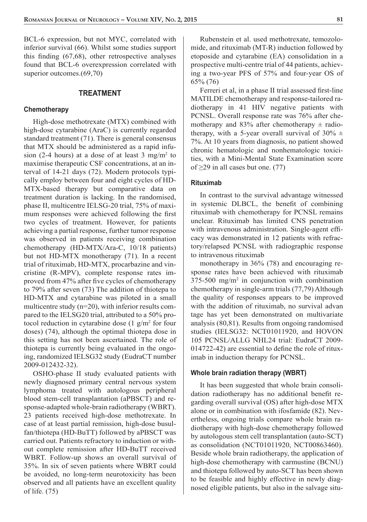BCL-6 expression, but not MYC, correlated with inferior survival (66). Whilst some studies support this finding  $(67,68)$ , other retrospective analyses found that BCL-6 overexpression correlated with superior outcomes.(69,70)

## **TREATMENT**

#### **Chemotherapy**

High-dose methotrexate (MTX) combined with high-dose cytarabine (AraC) is currently regarded standard treatment (71). There is general consensus that MTX should be administered as a rapid infusion (2-4 hours) at a dose of at least 3 mg/m<sup>2</sup> to maximise therapeutic CSF concentrations, at an interval of 14-21 days (72). Modern protocols typically employ between four and eight cycles of HD-MTX-based therapy but comparative data on treatment duration is lacking. In the randomised, phase II, multicentre IELSG-20 trial, 75% of maximum responses were achieved following the first two cycles of treatment. However, for patients achieving a partial response, further tumor response was observed in patients receiving combination chemotherapy (HD-MTX/Ara-C, 10/18 patients) but not HD-MTX monotherapy (71). In a recent trial of rituximab, HD-MTX, procarbazine and vincristine (R-MPV), complete response rates improved from 47% after five cycles of chemotherapy to 79% after seven (73) The addition of thiotepa to HD-MTX and cytarabine was piloted in a small multicentre study  $(n=20)$ , with inferior results compared to the IELSG20 trial, attributed to a 50% protocol reduction in cytarabine dose  $(1 g/m^2$  for four doses) (74), although the optimal thiotepa dose in this setting has not been ascertained. The role of thiotepa is currently being evaluated in the ongoing, randomized IELSG32 study (EudraCT number 2009-012432-32).

OSHO-phase II study evaluated patients with newly diagnosed primary central nervous system lymphoma treated with autologous peripheral blood stem-cell transplantation (aPBSCT) and response-adapted whole-brain radiotherapy (WBRT). 23 patients received high-dose methotrexate. In case of at least partial remission, high-dose busulfan/thiotepa (HD-BuTT) followed by aPBSCT was carried out. Patients refractory to induction or without complete remission after HD-BuTT received WBRT. Follow-up shows an overall survival of 35%. In six of seven patients where WBRT could be avoided, no long-term neurotoxicity has been observed and all patients have an excellent quality of life. (75)

Rubenstein et al. used methotrexate, temozolomide, and rituximab (MT-R) induction followed by etoposide and cytarabine (EA) consolidation in a prospective multi-centre trial of 44 patients, achieving a two-year PFS of 57% and four-year OS of 65% (76)

Ferreri et al, in a phase II trial assessed first-line MATILDE chemotherapy and response-tailored radiotherapy in 41 HIV negative patients with PCNSL. Overall response rate was 76% after chemotherapy and 83% after chemotherapy  $\pm$  radiotherapy, with a 5-year overall survival of  $30\% \pm$ 7%. At 10 years from diagnosis, no patient showed chronic hematologic and nonhematologic toxicities, with a Mini-Mental State Examination score of ≥29 in all cases but one. (77)

#### **Rituximab**

In contrast to the survival advantage witnessed in systemic DLBCL, the benefit of combining rituximab with chemotherapy for PCNSL remains unclear. Rituximab has limited CNS penetration with intravenous administration. Single-agent efficacy was demonstrated in 12 patients with refractory/relapsed PCNSL with radiographic response to intravenous rituximab

monotherapy in 36% (78) and encouraging response rates have been achieved with rituximab  $375-500$  mg/m<sup>2</sup> in conjunction with combination chemotherapy in single-arm trials (77,79) Although the quality of responses appears to be improved with the addition of rituximab, no survival advan tage has yet been demonstrated on multivariate analysis (80,81). Results from ongoing randomised studies (IELSG32: NCT01011920, and HOVON 105 PCNSL/ALLG NHL24 trial: EudraCT 2009-  $014722-42$ ) are essential to define the role of rituximab in induction therapy for PCNSL.

#### **Whole brain radiation therapy (WBRT)**

It has been suggested that whole brain consolidation radiotherapy has no additional benefit regarding overall survival (OS) after high-dose MTX alone or in combination with ifosfamide (82). Nevertheless, ongoing trials compare whole brain radiotherapy with high-dose chemotherapy followed by autologous stem cell transplantation (auto-SCT) as consolidation (NCT01011920, NCT00863460). Beside whole brain radiotherapy, the application of high-dose chemotherapy with carmustine (BCNU) and thiotepa followed by auto-SCT has been shown to be feasible and highly effective in newly diagnosed eligible patients, but also in the salvage situ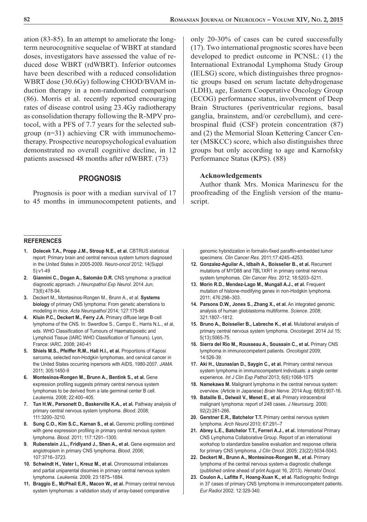ation (83-85). In an attempt to ameliorate the longterm neurocognitive sequelae of WBRT at standard doses, investigators have assessed the value of reduced dose WBRT (rdWBRT). Inferior outcomes have been described with a reduced consolidation WBRT dose (30.6Gy) following CHOD/BVAM induction therapy in a non-randomised comparison (86). Morris et al. recently reported encouraging rates of disease control using 23.4Gy radiotherapy as consolidation therapy following the R-MPV protocol, with a PFS of 7.7 years for the selected subgroup (n=31) achieving CR with immunochemotherapy. Prospective neuropsychological evaluation demonstrated no overall cognitive decline, in 12 patients assessed 48 months after rdWBRT. (73)

## **PROGNOSIS**

Prognosis is poor with a median survival of 17 to 45 months in immunocompetent patients, and

#### **REFERENCES**

- 1. Dolecek T.A., Propp J.M., Stroup N.E., et al. CBTRUS statistical report: Primary brain and central nervous system tumors diagnosed in the United States in 2005-2009. *Neuro-oncol* 2012; 14(Suppl 5):v1-49
- **2. Giannini C., Dogan A., Salomăo D.R.** CNS lymphoma: a practical diagnostic approach. *J Neuropathol Exp Neurol.* 2014 Jun; 73(6):478-94.
- **3.** Deckert M., Montesinos-Rongen M., Brunn A., et al. **Systems biology** of primary CNS lymphoma: From genetic aberrations to modeling in mice. *Acta Neuropathol* 2014; 127:175-88
- **4. Kluin P.C., Deckert M., Ferry J.A.** Primary diffuse large B-cell lymphoma of the CNS. In: Swerdlow S., Campo E., Harris N.L., et al, eds. WHO Classification of Tumours of Haematopoietic and Lymphoid Tissue (IARC WHO Classification of Tumours). Lyon, France: IARC, 2008; 240-41
- **5. Shiels M.S., Pfeiffer R.M., Hall H.I., et al.** Proportions of Kaposi sarcoma, selected non-Hodgkin lymphomas, and cervical cancer in the United States occurring inpersons with AIDS, 1980-2007. *JAMA.*  2011; 305:1450-9
- **6. Montesinos-Rongen M., Brunn A., Bentink S., et al.** Gene expression profiling suggests primary central nervous system lymphomas to be derived from a late germinal center B cell. *Leukemia.* 2008; 22:400–405.
- **7. Tun H.W., Personett D., Baskerville K.A., et al.** Pathway analysis of primary central nervous system lymphoma. *Blood.* 2008; 111:3200–3210.
- 8. Sung C.O., Kim S.C., Karnan S., et al. Genomic profiling combined with gene expression profiling in primary central nervous system lymphoma. *Blood.* 2011; 117:1291–1300.
- **9. Rubenstein J.L., Fridlyand J., Shen A., et al.** Gene expression and angiotropism in primary CNS lymphoma. *Blood.* 2006; 107:3716–3723.
- **10. Schwindt H., Vater I., Kreuz M., et al. Chromosomal imbalances** and partial uniparental disomies in primary central nervous system lymphoma. *Leukemia.* 2009; 23:1875–1884.
- **11. Braggio E., McPhail E.R., Macon W., et al.** Primary central nervous system lymphomas: a validation study of array-based comparative

only 20-30% of cases can be cured successfully (17). Two international prognostic scores have been developed to predict outcome in PCNSL: (1) the International Extranodal Lymphoma Study Group (IELSG) score, which distinguishes three prognostic groups based on serum lactate dehydrogenase (LDH), age, Eastern Cooperative Oncology Group (ECOG) performance status, involvement of Deep Brain Structures (periventricular regions, basal ganglia, brainstem, and/or cerebellum), and cerebrospinal fluid  $(CSF)$  protein concentration  $(87)$ and (2) the Memorial Sloan Kettering Cancer Center (MSKCC) score, which also distinguishes three groups but only according to age and Karnofsky Performance Status (KPS). (88)

## **Acknowledgements**

Author thank Mrs. Monica Marinescu for the proofreading of the English version of the manuscript.

genomic hybridization in formalin-fixed paraffin-embedded tumor specimens. *Clin Cancer Res.* 2011;17:4245–4253.

- **12. Gonzalez-Aguilar A., Idbaih A., Boisselier B., et al.** Recurrent mutations of MYD88 and TBL1XR1 in primary central nervous system lymphomas. *Clin Cancer Res.* 2012; 18:5203–5211.
- **13. Morin R.D., Mendez-Lago M., Mungall A.J., et al.** Frequent mutation of histone-modifying genes in non-Hodgkin lymphoma. 2011; 476:298–303.
- **14. Parsons D.W., Jones S., Zhang X., et al.** An integrated genomic analysis of human glioblastoma multiforme. *Science.* 2008; 321:1807–1812.
- **15. Bruno A., Boisselier B., Labreche K., et al.** Mutational analysis of primary central nervous system lymphoma. *Oncotarget.* 2014 Jul 15; 5(13):5065-75.
- **16. Sierra del Rio M., Rousseau A., Soussain C., et al.** Primary CNS lymphoma in immunocompetent patients. *Oncologist* 2009; 14:526-39.
- **17. Aki H., Uzunaslan D., Saygin C., et al.** Primary central nervous system lymphoma in immunocompetent individuals: a single center experience. *Int J Clin Exp Pathol* 2013; 6(6):1068-1075
- **18. Namekawa M.** Malignant lymphoma in the central nervous system: overview. (Article in Japanese) *Brain Nerve.* 2014 Aug; 66(8):907-16.
- **19. Bataille B., Delwail V., Menet E., et al.** Primary intracerebral malignant lymphoma: report of 248 cases. *J Neurosurg.* 2000; 92(2):261-266.
- **20. Gerstner E.R., Batchelor T.T.** Primary central nervous system lymphoma. *Arch Neurol* 2010; 67:291–7
- **21. Abrey L.E., Batchelor T.T., Ferreri A.J., et al.** International Primary CNS Lymphoma Collaborative Group. Report of an international workshop to standardize baseline evaluation and response criteria for primary CNS lymphoma. *J Clin Oncol*. 2005; 23(22):5034-5043.
- **22. Deckert M., Brunn A., Montesinos-Rongen M., et al.** Primary lymphoma of the central nervous system-a diagnostic challenge (published online ahead of print August 16, 2013). *Hematol Oncol.*
- 23. Coulon A., Lafitte F., Hoang-Xuan K., et al. Radiographic findings in 37 cases of primary CNS lymphoma in immunocompetent patients. *Eur Radiol* 2002; 12:329-340.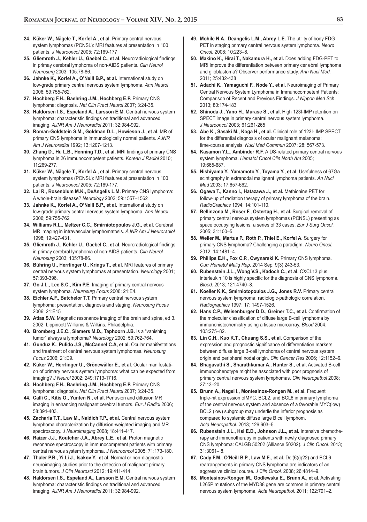- **24. Küker W., Nägele T., Korfel A., et al.** Primary central nervous system lymphomas (PCNSL): MRI features at presentation in 100 patients. *J Neurooncol* 2005; 72:169-177
- 25. Gliemroth J., Kehler U., Gaebel C., et al. Neuroradiological findings in primay cerebral lymphoma of non-AIDS patients. *Clin Neurol Neurosurg* 2003; 105:78-86.
- 26. Jahnke K., Korfel A., O'Neill B.P., et al. International study on low-grade primary central nervous system lymphoma. *Ann Neurol* 2006; 59:755-762.
- **27. Hochberg F.H., Baehring J.M., Hochberg E.P.** Primary CNS lymphoma: diagnosis. *Nat Clin Pract Neurol* 2007; 3:24-35.
- **28. Haldorsen I.S., Espeland A., Larsson E.M.** Central nervous system lymphoma: characteristic findings on traditional and advanced imaging. *AJNR Am J Neuroradiol* 2011; 32:984-992.
- **29. Roman-Goldstein S.M., Goldman D.L., Howieson J., et al.** MR of primary CNS lymphoma in immunologically normal patients. *AJNR Am J Neuroradiol* 1992; 13:1207-1213.
- 30. Zhang D., Hu L.B., Henning T.D., et al. MRI findings of primary CNS lymphoma in 26 immunocompetent patients. *Korean J Radiol* 2010; 11:269-277.
- **31. Küker W., Nägele T., Korfel A., et al.** Primary central nervous system lymphomas (PCNSL): MRI features at presentation in 100 patients. *J Neurooncol* 2005; 72:169-177.
- **32. Lai R., Rosenblum M.K., DeAngelis L.M.** Primary CNS lymphoma: A whole-brain disease? *Neurology* 2002; 59:1557–1562
- **33. Jahnke K., Korfel A., O'Neill B.P., et al.** International study on low-grade primary central nervous system lymphoma. *Ann Neurol* 2006; 59:755-762
- **34. Williams R.L., Meltzer C.C., Smirniotopoulos J.G., et al.** Cerebral MR imaging in intravascular lymphomatosis. *AJNR Am J Neuroradiol* 1998; 19:427-431.
- 35. Gliemroth J., Kehler U., Gaebel C., et al. Neuroradiological findings in primay cerebral lymphoma of non-AIDS patients. *Clin Neurol Neurosurg* 2003; 105:78-86.
- **36. Bühring U., Herrlinger U., Krings T., et al.** MRI features of primary central nervous system lymphomas at presentation. *Neurology* 2001; 57:393-396.
- **37. Go J.L., Lee S.C., Kim P.E.** Imaging of primary central nervous system lymphoma. *Neurosurg Focus* 2006; 21:E4.
- **38. Eichler A.F., Batchelor T.T.** Primary central nervous system lymphoma: presentation, diagnosis and staging. *Neurosurg Focus*  2006; 21:E15
- **39. Atlas S.W.** Magnetic resonance imaging of the brain and spine, ed 3. 2002; Lippincott Williams & Wilkins, Philadelphia.
- **40. Bromberg J.E.C., Siemers M.D., Taphoorn J.B.** Is a "vanishing tumor" always a lymphoma? *Neurology* 2002; 59:762-764.
- **41. Gunduz K., Pulido J.S., McCannel C.A, et al.** Ocular manifestations and treatment of central nervous system lymphomas. *Neurosurg Focus* 2006; 21:E9.
- **42. Küker W., Herrlinger U., Grönewäller E., et al.** Ocular manifestation of primary nervous system lymphoma: what can be expected from imaging? *J Neurol* 2002; 249:1713-1716.
- **43. Hochberg F.H., Baehring J.M., Hochberg E.P.** Primary CNS lymphoma: diagnosis. *Nat Clin Pract Neurol* 2007; 3:24-35.
- **44. Calli C., Kitis O., Yunten N., et al.** Perfusion and diffusion MR imaging in enhancing malignant cerebral tumors. *Eur J Radiol* 2006; 58:394-403.
- **45. Zacharia T.T., Law M., Naidich T.P., et al.** Central nervous system lymphoma characterization by diffusion-weighted imaging and MR spectroscopy. *J Neuroimaging* 2008; 18:411-417.
- 46. Raizer J.J., Koutcher J.A., Abrey L.E., et al. Proton magnetic resonance spectroscopy in immunocompetent patients with primary central nervous system lymphoma. *J Neurooncol* 2005; 71:173-180.
- **47. Thaler P.B., Yi Li J., Isakov Y., et al.** Normal or non-diagnostic neuroimaging studies prior to the detection of malignant primary brain tumors. *J Clin Neurosci* 2012; 19:411-414.
- **48. Haldorsen I.S., Espeland A., Larsson E.M.** Central nervous system lymphoma: characteristic findings on traditional and advanced imaging. *AJNR Am J Neuroradiol* 2011; 32:984-992.
- **49. Mohile N.A., Deangelis L.M., Abrey L.E.** The utility of body FDG PET in staging primary central nervous system lymphoma. *Neuro Oncol.* 2008; 10:223–8.
- **50. Makino K., Hirai T., Nakamura H., et al.** Does adding FDG-PET to MRI improve the differentiation between primary cer ebral lymphoma and glioblastoma? Observer performance study. *Ann Nucl Med.* 2011; 25:432-438
- **51. Adachi K., Yamaguchi F., Node Y., et al.** Neuroimaging of Primary Central Nervous System Lymphoma in Immunocompetent Patients: Comparison of Recent and Previous Findings. *J Nippon Med Sch* 2013; 80:174-183
- **52. Shinoda J., Yano H., Murase S., et al.** High 123I-IMP retention on SPECT image in primary central nervous system lymphoma. *J Neurooncol* 2003; 61:261-265
- **53. Abe K., Sasaki M., Koga H., et al.** Clinical role of 123I- IMP SPECT for the differential diagnosis of ocular malignant melanoma: time-course analysis. *Nucl Med Commun* 2007; 28: 567-573.
- **54. Kasamon Y.L., Ambinder R.F.** AIDS-related primary central nervous system lymphoma. *Hematol Oncol Clin North Am* 2005; 19:665-687.
- **55. Nishiyama Y., Yamamoto Y., Toyama Y., et al.** Usefulness of 67Ga scintigraphy in extranodal malignant lymphoma patients. *An Nucl Med* 2003; 17:657-662.
- **56. Ogawa T., Kanno I., Hatazawa J., et al.** Methionine PET for follow-up of radiation therapy of primary lymphoma of the brain. *RadioGraphics* 1994; 14:101-110.
- **57. Bellinzona M., Roser F., Ostertag H., et al.** Surgical removal of primary central nervous system lymphomas (PCNSL) presenting as space occupying lesions: a series of 33 cases. *Eur J Surg Oncol.* 2005; 31:100–5.
- **58. Weller M., Martus P., Roth P., Thiel E., Korfel A.** Surgery for primary CNS lymphoma? Challenging a paradigm. *Neuro Oncol.*  2012; 14:1481–4.
- **59. Phillips E.H., Fox C.P., Cwynarski K.** Primary CNS lymphoma. *Curr Hematol Malig Rep.* 2014 Sep; 9(3):243-53.
- **60. Rubenstein J.L., Wong V.S., Kadoch C., et al.** CXCL13 plus interleukin 10 is highly specific for the diagnosis of CNS lymphoma. *Blood.* 2013; 121:4740–8.
- **61. Koeller K.K., Smirniotopoulos J.G., Jones R.V.** Primary central nervous system lymphoma: radiologic-pathologic correlation. *Radiographics* 1997; 17: 1497-1526.
- 62. Hans C.P., Weisenburger D.D., Greiner T.C., et al. Confirmation of the molecular classification of diffuse large B-cell lymphoma by immunohistochemistry using a tissue microarray. *Blood* 2004; 103:275–82.
- **63. Lin C.H., Kuo K.T., Chuang S.S., et al.** Comparison of the expression and prognostic significance of differentiation markers between diffuse large B-cell lymphoma of central nervous system origin and peripheral nodal origin. *Clin Cancer Res* 2006; 12:1152–6.
- **64. Bhagavathi S., Sharathkumar A., Hunter S., et al.** Activated B-cell immunophenotype might be associated with poor prognosis of primary central nervous system lymphomas. *Clin Neuropathol* 2008; 27:13–20.
- **65. Brunn A., Nagel I., Montesinos-Rongen M., et al.** Frequent triple-hit expression ofMYC, BCL2, and BCL6 in primary lymphoma of the central nervous system and absence of a favorable MYC(low) BCL2 (low) subgroup may underlie the inferior prognosis as compared to systemic diffuse large B cell lymphom. *Acta Neuropathol.* 2013; 126:603–5.
- **66. Rubenstein J.L., Hsi E.D., Johnson J.L., et al.** Intensive chemotherapy and immunotherapy in patients with newly diagnosed primary CNS lymphoma: CALGB 50202 (Alliance 50202). *J Clin Oncol.* 2013; 31:3061– 8.
- **67. Cady F.M., O'Neill B.P., Law M.E., et al.** Del(6)(q22) and BCL6 rearrangements in primary CNS lymphoma are indicators of an aggressive clinical course. *J Clin Oncol.* 2008; 26:4814–9.
- **68. Montesinos-Rongen M., Godlewska E., Brunn A., et al.** Activating L265P mutations of the MYD88 gene are common in primary central nervous system lymphoma. *Acta Neuropathol.* 2011; 122:791–2.